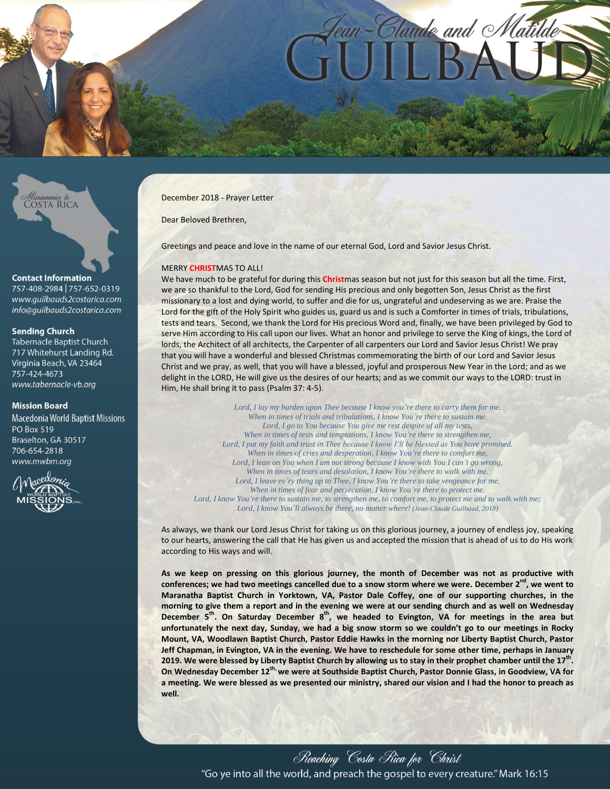



#### **Contact Information**

757-408-2984 757-652-0319 www.quilbauds2costarica.com info@quilbauds2costarica.com

# **Sendina Church**

Tabernacle Baptist Church 717 Whitehurst Landing Rd. Virginia Beach, VA 23464 757-424-4673 www.tabernacle-vb.org

#### **Mission Board**

**Macedonia World Baptist Missions PO Box 519** Braselton, GA 30517 706-654-2818 www.mwbm.org



December 2018 - Prayer Letter

Dear Beloved Brethren,

Greetings and peace and love in the name of our eternal God, Lord and Savior Jesus Christ.

#### MERRY **CHRIST**MAS TO ALL!

We have much to be grateful for during this **Christ**mas season but not just for this season but all the time. First, we are so thankful to the Lord, God for sending His precious and only begotten Son, Jesus Christ as the first missionary to a lost and dying world, to suffer and die for us, ungrateful and undeserving as we are. Praise the Lord for the gift of the Holy Spirit who guides us, guard us and is such a Comforter in times of trials, tribulations, tests and tears. Second, we thank the Lord for His precious Word and, finally, we have been privileged by God to serve Him according to His call upon our lives. What an honor and privilege to serve the King of kings, the Lord of lords, the Architect of all architects, the Carpenter of all carpenters our Lord and Savior Jesus Christ! We pray that you will have a wonderful and blessed Christmas commemorating the birth of our Lord and Savior Jesus Christ and we pray, as well, that you will have a blessed, joyful and prosperous New Year in the Lord; and as we delight in the LORD, He will give us the desires of our hearts; and as we commit our ways to the LORD: trust in Him, He shall bring it to pass (Psalm 37: 4-5).

*Lord, I lay my burden upon Thee because I know you're there to carry them for me. When in times of trials and tribulations, I know You're there to sustain me. Lord, I go to You because You give me rest despite of all my tests, When in times of tests and temptations, I know You're there to strengthen me, Lord, I put my faith and trust in Thee because I know I'll be blessed as You have promised. When in times of cries and desperation, I know You're there to comfort me, Lord, I lean on You when I am not strong because I know with You I can't go wrong, When in times of tears and desolation, I know You're there to walk with me. Lord, I leave ev'ry thing up to Thee, I know You're there to take vengeance for me. When in times of fear and persecution, I know You're there to protect me. Lord, I know You're there to sustain me, to strengthen me, to comfort me, to protect me and to walk with me; Lord, I know You'll always be there, no matter where! (Jean-Claude Guilbaud, 2018)*

As always, we thank our Lord Jesus Christ for taking us on this glorious journey, a journey of endless joy, speaking to our hearts, answering the call that He has given us and accepted the mission that is ahead of us to do His work according to His ways and will.

**As we keep on pressing on this glorious journey, the month of December was not as productive with conferences; we had two meetings cancelled due to a snow storm where we were. December 2 nd , we went to Maranatha Baptist Church in Yorktown, VA, Pastor Dale Coffey, one of our supporting churches, in the morning to give them a report and in the evening we were at our sending church and as well on Wednesday December 5 th . On Saturday December 8 th, we headed to Evington, VA for meetings in the area but unfortunately the next day, Sunday, we had a big snow storm so we couldn't go to our meetings in Rocky Mount, VA, Woodlawn Baptist Church, Pastor Eddie Hawks in the morning nor Liberty Baptist Church, Pastor Jeff Chapman, in Evington, VA in the evening. We have to reschedule for some other time, perhaps in January 2019. We were blessed by Liberty Baptist Church by allowing us to stay in their prophet chamber until the 17th . On Wednesday December 12th, we were at Southside Baptist Church, Pastor Donnie Glass, in Goodview, VA for a meeting. We were blessed as we presented our ministry, shared our vision and I had the honor to preach as well.**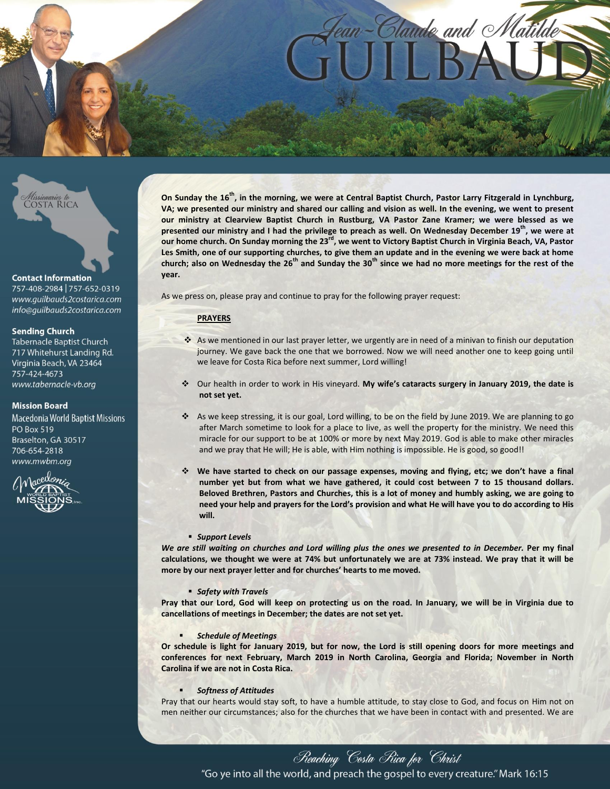# n-Claude and Matilde



#### **Contact Information**

757-408-2984 757-652-0319 www.quilbauds2costarica.com info@quilbauds2costarica.com

# **Sendina Church**

Tabernacle Baptist Church 717 Whitehurst Landing Rd. Virginia Beach, VA 23464 757-424-4673 www.tabernacle-vb.org

# **Mission Board**

**Macedonia World Baptist Missions PO Box 519** Braselton, GA 30517 706-654-2818 www.mwbm.org



**On Sunday the 16th, in the morning, we were at Central Baptist Church, Pastor Larry Fitzgerald in Lynchburg, VA; we presented our ministry and shared our calling and vision as well. In the evening, we went to present our ministry at Clearview Baptist Church in Rustburg, VA Pastor Zane Kramer; we were blessed as we presented our ministry and I had the privilege to preach as well. On Wednesday December 19th, we were at our home church. On Sunday morning the 23rd, we went to Victory Baptist Church in Virginia Beach, VA, Pastor Les Smith, one of our supporting churches, to give them an update and in the evening we were back at home church; also on Wednesday the 26th and Sunday the 30th since we had no more meetings for the rest of the year.** 

As we press on, please pray and continue to pray for the following prayer request:

# **PRAYERS**

- As we mentioned in our last prayer letter, we urgently are in need of a minivan to finish our deputation journey. We gave back the one that we borrowed. Now we will need another one to keep going until we leave for Costa Rica before next summer, Lord willing!
- Our health in order to work in His vineyard. **My wife's cataracts surgery in January 2019, the date is not set yet.**
- \* As we keep stressing, it is our goal, Lord willing, to be on the field by June 2019. We are planning to go after March sometime to look for a place to live, as well the property for the ministry. We need this miracle for our support to be at 100% or more by next May 2019. God is able to make other miracles and we pray that He will; He is able, with Him nothing is impossible. He is good, so good!!
- **We have started to check on our passage expenses, moving and flying, etc; we don't have a final number yet but from what we have gathered, it could cost between 7 to 15 thousand dollars. Beloved Brethren, Pastors and Churches, this is a lot of money and humbly asking, we are going to need your help and prayers for the Lord's provision and what He will have you to do according to His will.**

#### *Support Levels*

*We are still waiting on churches and Lord willing plus the ones we presented to in December.* **Per my final calculations, we thought we were at 74% but unfortunately we are at 73% instead. We pray that it will be more by our next prayer letter and for churches' hearts to me moved.**

#### *Safety with Travels*

**Pray that our Lord, God will keep on protecting us on the road. In January, we will be in Virginia due to cancellations of meetings in December; the dates are not set yet.**

#### *Schedule of Meetings*

**Or schedule is light for January 2019, but for now, the Lord is still opening doors for more meetings and conferences for next February, March 2019 in North Carolina, Georgia and Florida; November in North Carolina if we are not in Costa Rica.**

#### *Softness of Attitudes*

Pray that our hearts would stay soft, to have a humble attitude, to stay close to God, and focus on Him not on men neither our circumstances; also for the churches that we have been in contact with and presented. We are

Reaching Costa Rica for Christ "Go ye into all the world, and preach the gospel to every creature." Mark 16:15